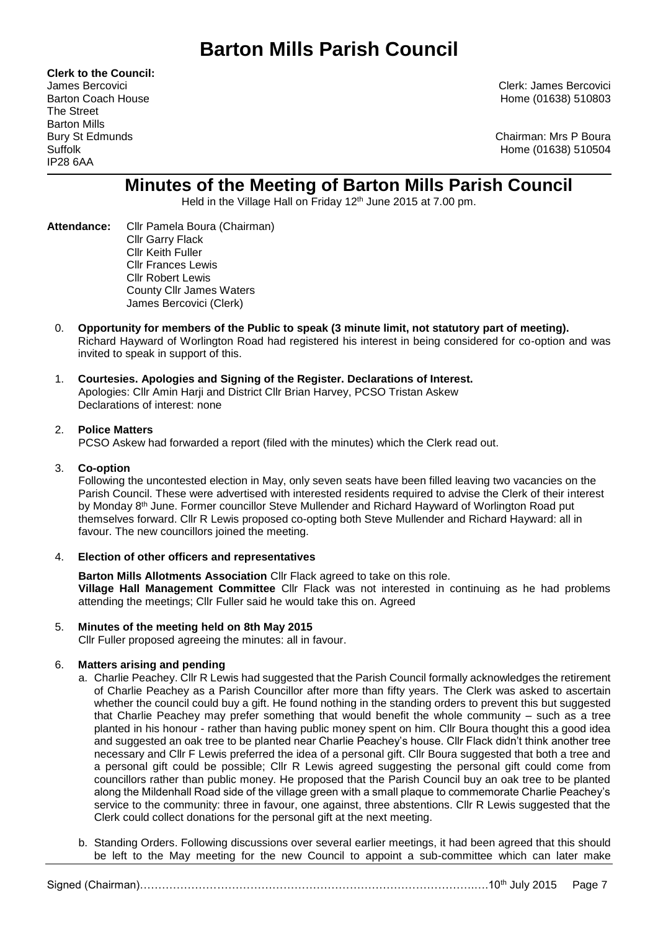**Clerk to the Council:** The Street Barton Mills IP28 6AA

James Bercovici Clerk: James Bercovici Barton Coach House **Home (01638)** 510803

Bury St Edmunds Chairman: Mrs P Boura Suffolk Home (01638) 510504

# **Minutes of the Meeting of Barton Mills Parish Council**

Held in the Village Hall on Friday 12<sup>th</sup> June 2015 at 7.00 pm.

- **Attendance:** Cllr Pamela Boura (Chairman) Cllr Garry Flack Cllr Keith Fuller Cllr Frances Lewis Cllr Robert Lewis County Cllr James Waters James Bercovici (Clerk)
	- 0. **Opportunity for members of the Public to speak (3 minute limit, not statutory part of meeting).** Richard Hayward of Worlington Road had registered his interest in being considered for co-option and was invited to speak in support of this.

## 1. **Courtesies. Apologies and Signing of the Register. Declarations of Interest.** Apologies: Cllr Amin Harji and District Cllr Brian Harvey, PCSO Tristan Askew Declarations of interest: none

## 2. **Police Matters**

PCSO Askew had forwarded a report (filed with the minutes) which the Clerk read out.

## 3. **Co-option**

Following the uncontested election in May, only seven seats have been filled leaving two vacancies on the Parish Council. These were advertised with interested residents required to advise the Clerk of their interest by Monday 8<sup>th</sup> June. Former councillor Steve Mullender and Richard Hayward of Worlington Road put themselves forward. Cllr R Lewis proposed co-opting both Steve Mullender and Richard Hayward: all in favour. The new councillors joined the meeting.

## 4. **Election of other officers and representatives**

**Barton Mills Allotments Association** Cllr Flack agreed to take on this role.

**Village Hall Management Committee** Cllr Flack was not interested in continuing as he had problems attending the meetings; Cllr Fuller said he would take this on. Agreed

## 5. **Minutes of the meeting held on 8th May 2015**

Cllr Fuller proposed agreeing the minutes: all in favour.

## 6. **Matters arising and pending**

- a. Charlie Peachey. Cllr R Lewis had suggested that the Parish Council formally acknowledges the retirement of Charlie Peachey as a Parish Councillor after more than fifty years. The Clerk was asked to ascertain whether the council could buy a gift. He found nothing in the standing orders to prevent this but suggested that Charlie Peachey may prefer something that would benefit the whole community – such as a tree planted in his honour - rather than having public money spent on him. Cllr Boura thought this a good idea and suggested an oak tree to be planted near Charlie Peachey's house. Cllr Flack didn't think another tree necessary and Cllr F Lewis preferred the idea of a personal gift. Cllr Boura suggested that both a tree and a personal gift could be possible; Cllr R Lewis agreed suggesting the personal gift could come from councillors rather than public money. He proposed that the Parish Council buy an oak tree to be planted along the Mildenhall Road side of the village green with a small plaque to commemorate Charlie Peachey's service to the community: three in favour, one against, three abstentions. Cllr R Lewis suggested that the Clerk could collect donations for the personal gift at the next meeting.
- b. Standing Orders. Following discussions over several earlier meetings, it had been agreed that this should be left to the May meeting for the new Council to appoint a sub-committee which can later make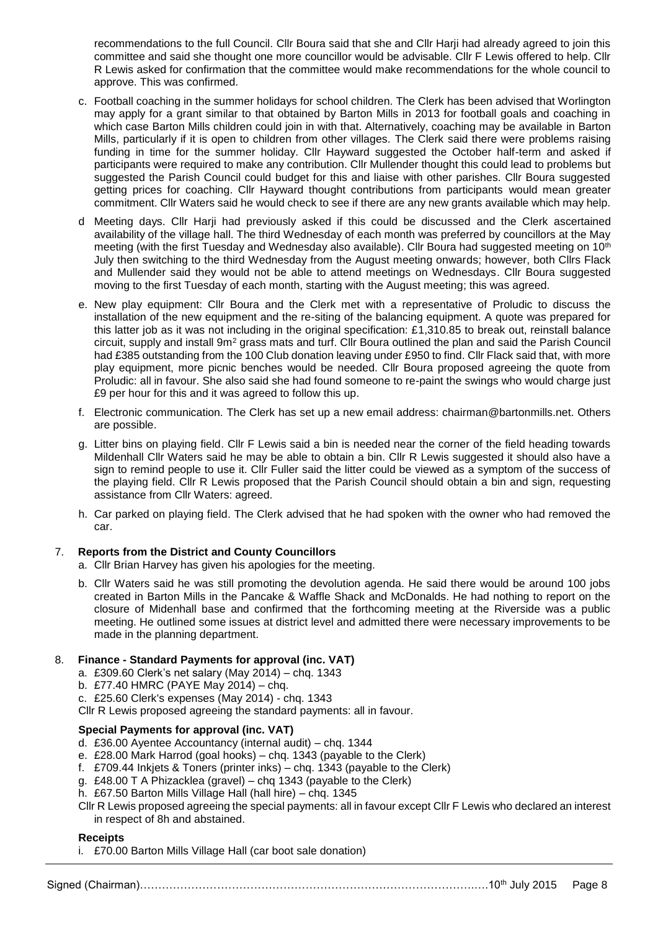recommendations to the full Council. Cllr Boura said that she and Cllr Harji had already agreed to join this committee and said she thought one more councillor would be advisable. Cllr F Lewis offered to help. Cllr R Lewis asked for confirmation that the committee would make recommendations for the whole council to approve. This was confirmed.

- c. Football coaching in the summer holidays for school children. The Clerk has been advised that Worlington may apply for a grant similar to that obtained by Barton Mills in 2013 for football goals and coaching in which case Barton Mills children could join in with that. Alternatively, coaching may be available in Barton Mills, particularly if it is open to children from other villages. The Clerk said there were problems raising funding in time for the summer holiday. Cllr Hayward suggested the October half-term and asked if participants were required to make any contribution. Cllr Mullender thought this could lead to problems but suggested the Parish Council could budget for this and liaise with other parishes. Cllr Boura suggested getting prices for coaching. Cllr Hayward thought contributions from participants would mean greater commitment. Cllr Waters said he would check to see if there are any new grants available which may help.
- d Meeting days. Cllr Harji had previously asked if this could be discussed and the Clerk ascertained availability of the village hall. The third Wednesday of each month was preferred by councillors at the May meeting (with the first Tuesday and Wednesday also available). Cllr Boura had suggested meeting on 10<sup>th</sup> July then switching to the third Wednesday from the August meeting onwards; however, both Cllrs Flack and Mullender said they would not be able to attend meetings on Wednesdays. Cllr Boura suggested moving to the first Tuesday of each month, starting with the August meeting; this was agreed.
- e. New play equipment: Cllr Boura and the Clerk met with a representative of Proludic to discuss the installation of the new equipment and the re-siting of the balancing equipment. A quote was prepared for this latter job as it was not including in the original specification: £1,310.85 to break out, reinstall balance circuit, supply and install 9m<sup>2</sup> grass mats and turf. Cllr Boura outlined the plan and said the Parish Council had £385 outstanding from the 100 Club donation leaving under £950 to find. Cllr Flack said that, with more play equipment, more picnic benches would be needed. Cllr Boura proposed agreeing the quote from Proludic: all in favour. She also said she had found someone to re-paint the swings who would charge just £9 per hour for this and it was agreed to follow this up.
- f. Electronic communication. The Clerk has set up a new email address: chairman@bartonmills.net. Others are possible.
- g. Litter bins on playing field. Cllr F Lewis said a bin is needed near the corner of the field heading towards Mildenhall Cllr Waters said he may be able to obtain a bin. Cllr R Lewis suggested it should also have a sign to remind people to use it. Cllr Fuller said the litter could be viewed as a symptom of the success of the playing field. Cllr R Lewis proposed that the Parish Council should obtain a bin and sign, requesting assistance from Cllr Waters: agreed.
- h. Car parked on playing field. The Clerk advised that he had spoken with the owner who had removed the car.

## 7. **Reports from the District and County Councillors**

- a. Cllr Brian Harvey has given his apologies for the meeting.
- b. Cllr Waters said he was still promoting the devolution agenda. He said there would be around 100 jobs created in Barton Mills in the Pancake & Waffle Shack and McDonalds. He had nothing to report on the closure of Midenhall base and confirmed that the forthcoming meeting at the Riverside was a public meeting. He outlined some issues at district level and admitted there were necessary improvements to be made in the planning department.

## 8. **Finance - Standard Payments for approval (inc. VAT)**

- a. £309.60 Clerk's net salary (May 2014) chq. 1343
- b. £77.40 HMRC (PAYE May 2014) chq.
- c. £25.60 Clerk's expenses (May 2014) chq. 1343

Cllr R Lewis proposed agreeing the standard payments: all in favour.

## **Special Payments for approval (inc. VAT)**

- d. £36.00 Ayentee Accountancy (internal audit) chq. 1344
- e. £28.00 Mark Harrod (goal hooks) chq. 1343 (payable to the Clerk)
- f. £709.44 Inkjets & Toners (printer inks) chq. 1343 (payable to the Clerk)
- g. £48.00 T A Phizacklea (gravel) chq 1343 (payable to the Clerk)
- h.  $£67.50$  Barton Mills Village Hall (hall hire) chg. 1345
- Cllr R Lewis proposed agreeing the special payments: all in favour except Cllr F Lewis who declared an interest in respect of 8h and abstained.

## **Receipts**

i. £70.00 Barton Mills Village Hall (car boot sale donation)